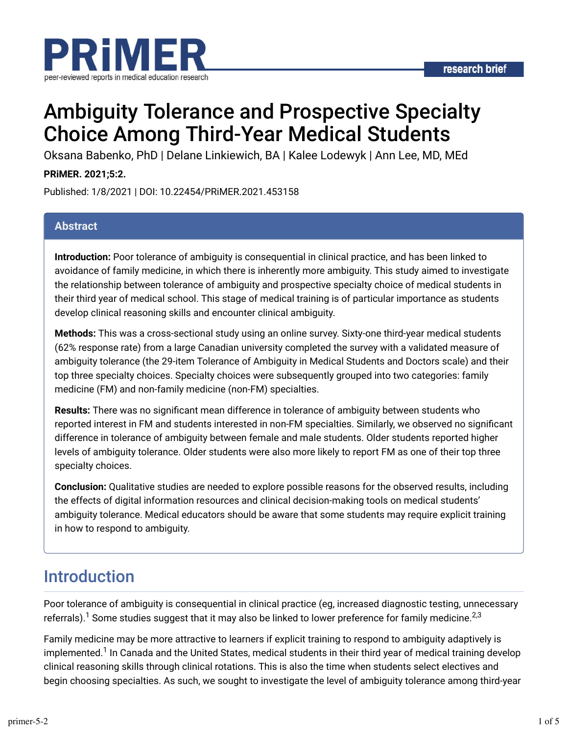

# Ambiguity Tolerance and Prospective Specialty Choice Among Third-Year Medical Students

Oksana Babenko, PhD | Delane Linkiewich, BA | Kalee Lodewyk | Ann Lee, MD, MEd

### **PRiMER. 2021;5:2.**

Published: 1/8/2021 | DOI: 10.22454/PRiMER.2021.453158

### **Abstract**

**Introduction:** Poor tolerance of ambiguity is consequential in clinical practice, and has been linked to avoidance of family medicine, in which there is inherently more ambiguity. This study aimed to investigate the relationship between tolerance of ambiguity and prospective specialty choice of medical students in their third year of medical school. This stage of medical training is of particular importance as students develop clinical reasoning skills and encounter clinical ambiguity.

**Methods:** This was a cross-sectional study using an online survey. Sixty-one third-year medical students (62% response rate) from a large Canadian university completed the survey with a validated measure of ambiguity tolerance (the 29-item Tolerance of Ambiguity in Medical Students and Doctors scale) and their top three specialty choices. Specialty choices were subsequently grouped into two categories: family medicine (FM) and non-family medicine (non-FM) specialties.

**Results:** There was no significant mean difference in tolerance of ambiguity between students who reported interest in FM and students interested in non-FM specialties. Similarly, we observed no significant difference in tolerance of ambiguity between female and male students. Older students reported higher levels of ambiguity tolerance. Older students were also more likely to report FM as one of their top three specialty choices.

**Conclusion:** Qualitative studies are needed to explore possible reasons for the observed results, including the effects of digital information resources and clinical decision-making tools on medical students' ambiguity tolerance. Medical educators should be aware that some students may require explicit training in how to respond to ambiguity.

## Introduction

Poor tolerance of ambiguity is consequential in clinical practice (eg, increased diagnostic testing, unnecessary referrals). $^1$  Some studies suggest that it may also be linked to lower preference for family medicine. $^{\rm 2,3}$ 

Family medicine may be more attractive to learners if explicit training to respond to ambiguity adaptively is implemented.<sup>1</sup> In Canada and the United States, medical students in their third year of medical training develop clinical reasoning skills through clinical rotations. This is also the time when students select electives and begin choosing specialties. As such, we sought to investigate the level of ambiguity tolerance among third-year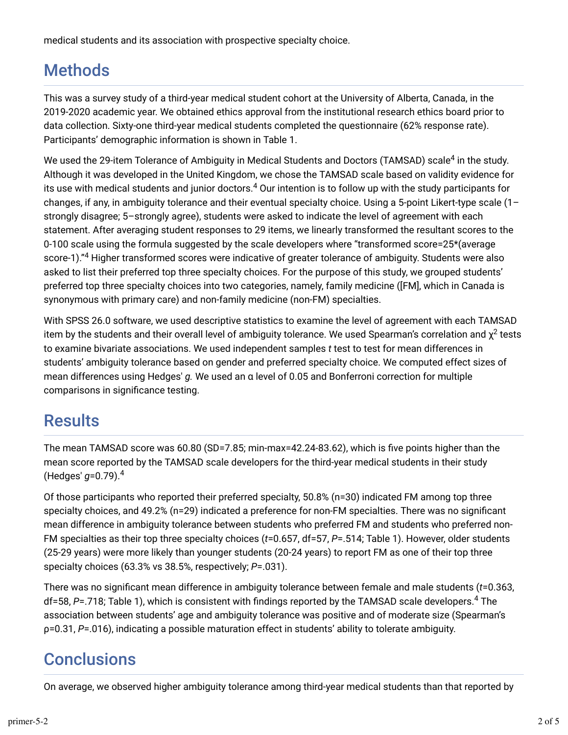medical students and its association with prospective specialty choice.

## Methods

This was a survey study of a third-year medical student cohort at the University of Alberta, Canada, in the 2019-2020 academic year. We obtained ethics approval from the institutional research ethics board prior to data collection. Sixty-one third-year medical students completed the questionnaire (62% response rate). Participants' demographic information is shown in Table 1.

We used the 29-item Tolerance of Ambiguity in Medical Students and Doctors (TAMSAD) scale<sup>4</sup> in the study. Although it was developed in the United Kingdom, we chose the TAMSAD scale based on validity evidence for its use with medical students and junior doctors. $^{\text{4}}$  Our intention is to follow up with the study participants for changes, if any, in ambiguity tolerance and their eventual specialty choice. Using a 5-point Likert-type scale (1– strongly disagree; 5–strongly agree), students were asked to indicate the level of agreement with each statement. After averaging student responses to 29 items, we linearly transformed the resultant scores to the 0-100 scale using the formula suggested by the scale developers where "transformed score=25\*(average score-1)."<sup>4</sup> Higher transformed scores were indicative of greater tolerance of ambiguity. Students were also asked to list their preferred top three specialty choices. For the purpose of this study, we grouped students' preferred top three specialty choices into two categories, namely, family medicine ([FM], which in Canada is synonymous with primary care) and non-family medicine (non-FM) specialties.

With SPSS 26.0 software, we used descriptive statistics to examine the level of agreement with each TAMSAD item by the students and their overall level of ambiguity tolerance. We used Spearman's correlation and  $\chi^2$  tests to examine bivariate associations. We used independent samples *t* test to test for mean differences in students' ambiguity tolerance based on gender and preferred specialty choice. We computed effect sizes of mean differences using Hedges' *g.* We used an α level of 0.05 and Bonferroni correction for multiple comparisons in significance testing.

## **Results**

The mean TAMSAD score was 60.80 (SD=7.85; min-max=42.24-83.62), which is five points higher than the mean score reported by the TAMSAD scale developers for the third-year medical students in their study (Hedges' *g*=0.79). 4

Of those participants who reported their preferred specialty, 50.8% (n=30) indicated FM among top three specialty choices, and 49.2% (n=29) indicated a preference for non-FM specialties. There was no significant mean difference in ambiguity tolerance between students who preferred FM and students who preferred non-FM specialties as their top three specialty choices (*t*=0.657, df=57, *P*=.514; Table 1). However, older students (25-29 years) were more likely than younger students (20-24 years) to report FM as one of their top three specialty choices (63.3% vs 38.5%, respectively; *P*=.031).

There was no significant mean difference in ambiguity tolerance between female and male students (*t*=0.363, df=58, *P*=.718; Table 1), which is consistent with findings reported by the TAMSAD scale developers.<sup>4</sup> The association between students' age and ambiguity tolerance was positive and of moderate size (Spearman's ρ=0.31, *P*=.016), indicating a possible maturation effect in students' ability to tolerate ambiguity.

## **Conclusions**

On average, we observed higher ambiguity tolerance among third-year medical students than that reported by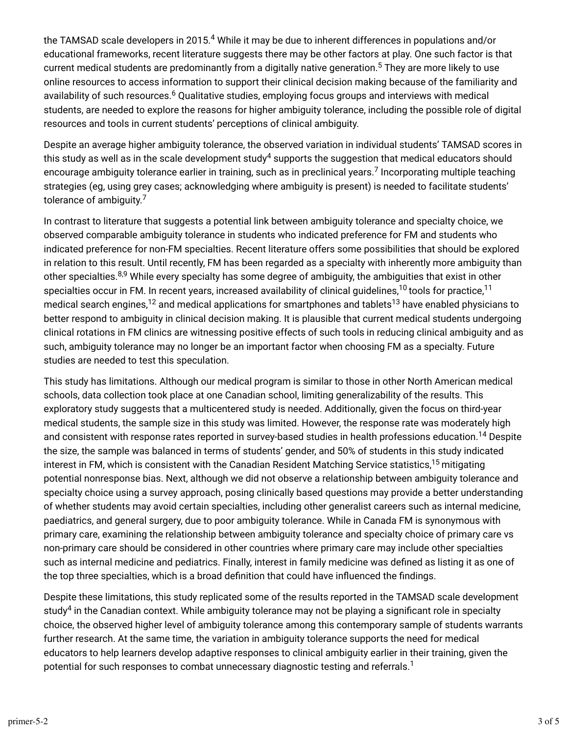the TAMSAD scale developers in 2015. $^4$  While it may be due to inherent differences in populations and/or educational frameworks, recent literature suggests there may be other factors at play. One such factor is that current medical students are predominantly from a digitally native generation.<sup>5</sup> They are more likely to use online resources to access information to support their clinical decision making because of the familiarity and availability of such resources.<sup>6</sup> Qualitative studies, employing focus groups and interviews with medical students, are needed to explore the reasons for higher ambiguity tolerance, including the possible role of digital resources and tools in current students' perceptions of clinical ambiguity.

Despite an average higher ambiguity tolerance, the observed variation in individual students' TAMSAD scores in this study as well as in the scale development study $^4$  supports the suggestion that medical educators should encourage ambiguity tolerance earlier in training, such as in preclinical years.<sup>7</sup> Incorporating multiple teaching strategies (eg, using grey cases; acknowledging where ambiguity is present) is needed to facilitate students' tolerance of ambiguity.<sup>7</sup>

In contrast to literature that suggests a potential link between ambiguity tolerance and specialty choice, we observed comparable ambiguity tolerance in students who indicated preference for FM and students who indicated preference for non-FM specialties. Recent literature offers some possibilities that should be explored in relation to this result. Until recently, FM has been regarded as a specialty with inherently more ambiguity than other specialties.<sup>8,9</sup> While every specialty has some degree of ambiguity, the ambiguities that exist in other specialties occur in FM. In recent years, increased availability of clinical guidelines, $^{10}$  tools for practice, $^{11}$ medical search engines, $^{12}$  and medical applications for smartphones and tablets $^{13}$  have enabled physicians to better respond to ambiguity in clinical decision making. It is plausible that current medical students undergoing clinical rotations in FM clinics are witnessing positive effects of such tools in reducing clinical ambiguity and as such, ambiguity tolerance may no longer be an important factor when choosing FM as a specialty. Future studies are needed to test this speculation.

This study has limitations. Although our medical program is similar to those in other North American medical schools, data collection took place at one Canadian school, limiting generalizability of the results. This exploratory study suggests that a multicentered study is needed. Additionally, given the focus on third-year medical students, the sample size in this study was limited. However, the response rate was moderately high and consistent with response rates reported in survey-based studies in health professions education.<sup>14</sup> Despite the size, the sample was balanced in terms of students' gender, and 50% of students in this study indicated interest in FM, which is consistent with the Canadian Resident Matching Service statistics, $^{15}$  mitigating potential nonresponse bias. Next, although we did not observe a relationship between ambiguity tolerance and specialty choice using a survey approach, posing clinically based questions may provide a better understanding of whether students may avoid certain specialties, including other generalist careers such as internal medicine, paediatrics, and general surgery, due to poor ambiguity tolerance. While in Canada FM is synonymous with primary care, examining the relationship between ambiguity tolerance and specialty choice of primary care vs non-primary care should be considered in other countries where primary care may include other specialties such as internal medicine and pediatrics. Finally, interest in family medicine was defined as listing it as one of the top three specialties, which is a broad definition that could have influenced the findings.

Despite these limitations, this study replicated some of the results reported in the TAMSAD scale development study $^4$  in the Canadian context. While ambiguity tolerance may not be playing a significant role in specialty choice, the observed higher level of ambiguity tolerance among this contemporary sample of students warrants further research. At the same time, the variation in ambiguity tolerance supports the need for medical educators to help learners develop adaptive responses to clinical ambiguity earlier in their training, given the potential for such responses to combat unnecessary diagnostic testing and referrals. $^{\text{1}}$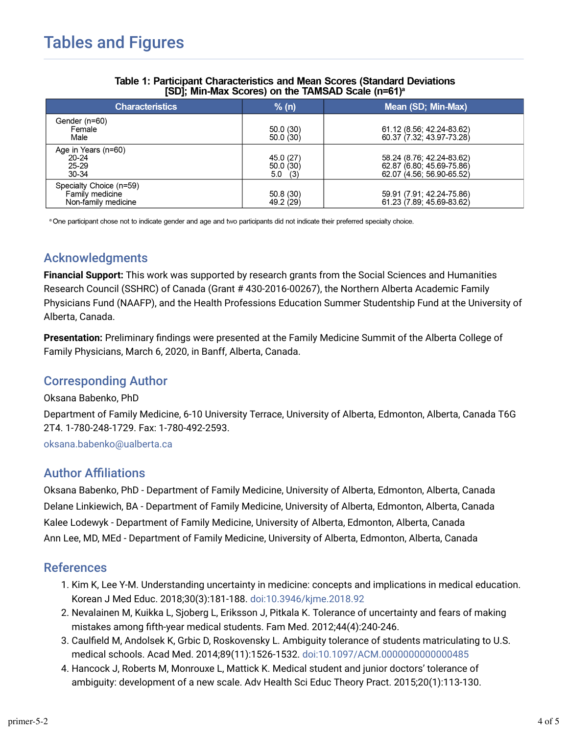| <b>Characteristics</b>                                            | % (n)                              | Mean (SD; Min-Max)                                                                  |
|-------------------------------------------------------------------|------------------------------------|-------------------------------------------------------------------------------------|
| Gender (n=60)<br>Female<br>Male                                   | 50.0(30)<br>50.0(30)               | 61.12 (8.56; 42.24-83.62)<br>60.37 (7.32, 43.97-73.28)                              |
| Age in Years (n=60)<br>$20 - 24$<br>$25 - 29$<br>30-34            | 45.0 (27)<br>50.0(30)<br>$5.0$ (3) | 58.24 (8.76, 42.24-83.62)<br>62.87 (6.80, 45.69-75.86)<br>62.07 (4.56, 56.90-65.52) |
| Specialty Choice (n=59)<br>Family medicine<br>Non-family medicine | 50.8(30)<br>49.2 (29)              | 59.91 (7.91; 42.24-75.86)<br>61.23 (7.89, 45.69-83.62)                              |

#### **Table 1: Participant Characteristics and Mean Scores (Standard Deviations)** [SD]; Min-Max Scores) on the TAMSAD Scale (n=61)<sup>a</sup>

<sup>a</sup> One participant chose not to indicate gender and age and two participants did not indicate their preferred specialty choice.

## Acknowledgments

**Financial Support:** This work was supported by research grants from the Social Sciences and Humanities Research Council (SSHRC) of Canada (Grant # 430-2016-00267), the Northern Alberta Academic Family Physicians Fund (NAAFP), and the Health Professions Education Summer Studentship Fund at the University of Alberta, Canada.

**Presentation:** Preliminary findings were presented at the Family Medicine Summit of the Alberta College of Family Physicians, March 6, 2020, in Banff, Alberta, Canada.

## Corresponding Author

#### Oksana Babenko, PhD

Department of Family Medicine, 6-10 University Terrace, University of Alberta, Edmonton, Alberta, Canada T6G 2T4. 1-780-248-1729. Fax: 1-780-492-2593.

oksana.babenko@ualberta.ca

## **Author Affiliations**

Oksana Babenko, PhD - Department of Family Medicine, University of Alberta, Edmonton, Alberta, Canada Delane Linkiewich, BA - Department of Family Medicine, University of Alberta, Edmonton, Alberta, Canada Kalee Lodewyk - Department of Family Medicine, University of Alberta, Edmonton, Alberta, Canada Ann Lee, MD, MEd - Department of Family Medicine, University of Alberta, Edmonton, Alberta, Canada

## References

- 1. Kim K, Lee Y-M. Understanding uncertainty in medicine: concepts and implications in medical education. Korean J Med Educ. 2018;30(3):181-188. doi:10.3946/kjme.2018.92
- 2. Nevalainen M, Kuikka L, Sjoberg L, Eriksson J, Pitkala K. Tolerance of uncertainty and fears of making mistakes among [fth-year medical students. Fam Med. 2012;44(4):240-246.
- 3. Caulfield M, Andolsek K, Grbic D, Roskovensky L. Ambiguity tolerance of students matriculating to U.S. medical schools. Acad Med. 2014;89(11):1526-1532. doi:10.1097/ACM.0000000000000485
- 4. Hancock J, Roberts M, Monrouxe L, Mattick K. Medical student and junior doctors' tolerance of ambiguity: development of a new scale. Adv Health Sci Educ Theory Pract. 2015;20(1):113-130.